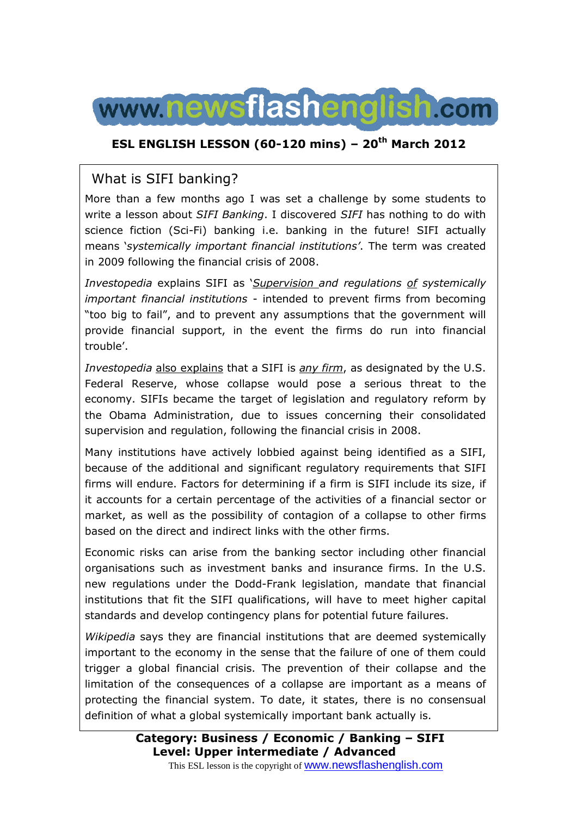

## **ESL ENGLISH LESSON (60-120 mins) – 20th March 2012**

## What is SIFI banking?

More than a few months ago I was set a challenge by some students to write a lesson about *SIFI Banking*. I discovered *SIFI* has nothing to do with science fiction (Sci-Fi) banking i.e. banking in the future! SIFI actually means '*systemically important financial institutions'*. The term was created in 2009 following the financial crisis of 2008.

*Investopedia* explains SIFI as '*Supervision and regulations of systemically important financial institutions* - intended to prevent firms from becoming "too big to fail", and to prevent any assumptions that the government will provide financial support, in the event the firms do run into financial trouble'.

*Investopedia* also explains that a SIFI is *any firm*, as designated by the U.S. Federal Reserve, whose collapse would pose a serious threat to the economy. SIFIs became the target of legislation and regulatory reform by the Obama Administration, due to issues concerning their consolidated supervision and regulation, following the financial crisis in 2008.

Many institutions have actively lobbied against being identified as a SIFI, because of the additional and significant regulatory requirements that SIFI firms will endure. Factors for determining if a firm is SIFI include its size, if it accounts for a certain percentage of the activities of a financial sector or market, as well as the possibility of contagion of a collapse to other firms based on the direct and indirect links with the other firms.

Economic risks can arise from the banking sector including other financial organisations such as investment banks and insurance firms. In the U.S. new regulations under the Dodd-Frank legislation, mandate that financial institutions that fit the SIFI qualifications, will have to meet higher capital standards and develop contingency plans for potential future failures.

*Wikipedia* says they are financial institutions that are deemed systemically important to the economy in the sense that the failure of one of them could trigger a global financial crisis. The prevention of their collapse and the limitation of the consequences of a collapse are important as a means of protecting the financial system. To date, it states, there is no consensual definition of what a global systemically important bank actually is.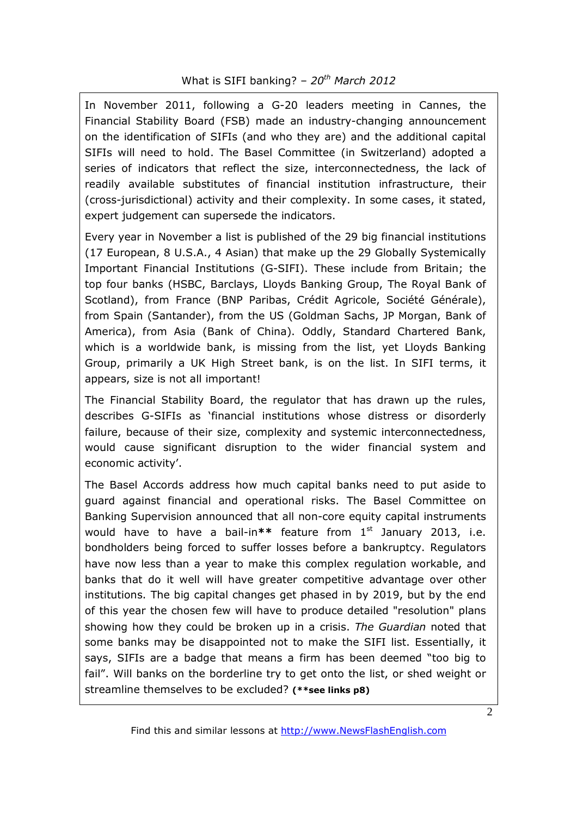In November 2011, following a G-20 leaders meeting in Cannes, the Financial Stability Board (FSB) made an industry-changing announcement on the identification of SIFIs (and who they are) and the additional capital SIFIs will need to hold. The Basel Committee (in Switzerland) adopted a series of indicators that reflect the size, interconnectedness, the lack of readily available substitutes of financial institution infrastructure, their (cross-jurisdictional) activity and their complexity. In some cases, it stated, expert judgement can supersede the indicators.

Every year in November a list is published of the 29 big financial institutions (17 European, 8 U.S.A., 4 Asian) that make up the 29 Globally Systemically Important Financial Institutions (G-SIFI). These include from Britain; the top four banks (HSBC, Barclays, Lloyds Banking Group, The Royal Bank of Scotland), from France (BNP Paribas, Crédit Agricole, Société Générale), from Spain (Santander), from the US (Goldman Sachs, JP Morgan, Bank of America), from Asia (Bank of China). Oddly, Standard Chartered Bank, which is a worldwide bank, is missing from the list, yet Lloyds Banking Group, primarily a UK High Street bank, is on the list. In SIFI terms, it appears, size is not all important!

The Financial Stability Board, the regulator that has drawn up the rules, describes G-SIFIs as 'financial institutions whose distress or disorderly failure, because of their size, complexity and systemic interconnectedness, would cause significant disruption to the wider financial system and economic activity'.

The Basel Accords address how much capital banks need to put aside to guard against financial and operational risks. The Basel Committee on Banking Supervision announced that all non-core equity capital instruments would have to have a bail-in<sup>\*\*</sup> feature from 1<sup>st</sup> January 2013, i.e. bondholders being forced to suffer losses before a bankruptcy. Regulators have now less than a year to make this complex regulation workable, and banks that do it well will have greater competitive advantage over other institutions. The big capital changes get phased in by 2019, but by the end of this year the chosen few will have to produce detailed "resolution" plans showing how they could be broken up in a crisis. *The Guardian* noted that some banks may be disappointed not to make the SIFI list. Essentially, it says, SIFIs are a badge that means a firm has been deemed "too big to fail". Will banks on the borderline try to get onto the list, or shed weight or streamline themselves to be excluded? **(\*\*see links p8)**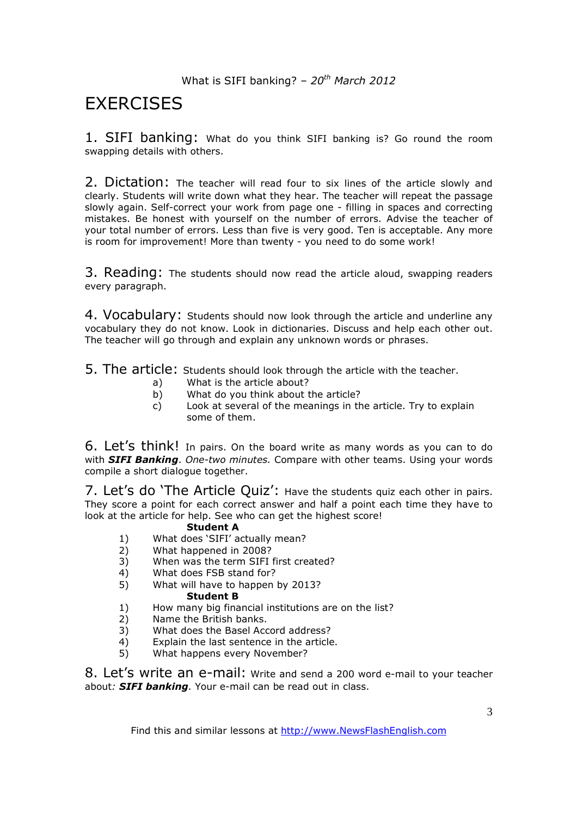# **EXERCISES**

1. SIFI banking: What do you think SIFI banking is? Go round the room swapping details with others.

2. Dictation: The teacher will read four to six lines of the article slowly and clearly. Students will write down what they hear. The teacher will repeat the passage slowly again. Self-correct your work from page one - filling in spaces and correcting mistakes. Be honest with yourself on the number of errors. Advise the teacher of your total number of errors. Less than five is very good. Ten is acceptable. Any more is room for improvement! More than twenty - you need to do some work!

3. Reading: The students should now read the article aloud, swapping readers every paragraph.

4. Vocabulary: Students should now look through the article and underline any vocabulary they do not know. Look in dictionaries. Discuss and help each other out. The teacher will go through and explain any unknown words or phrases.

5. The article: Students should look through the article with the teacher.

- a) What is the article about?
- b) What do you think about the article?
- c) Look at several of the meanings in the article. Try to explain some of them.

6. Let's think! In pairs. On the board write as many words as you can to do with *SIFI Banking*. *One-two minutes.* Compare with other teams. Using your words compile a short dialogue together.

7. Let's do 'The Article Quiz': Have the students quiz each other in pairs. They score a point for each correct answer and half a point each time they have to look at the article for help. See who can get the highest score!

#### **Student A**

- 1) What does 'SIFI' actually mean?
- 2) What happened in 2008?
- 3) When was the term SIFI first created?
- 4) What does FSB stand for?<br>5) What will have to happen
- 5) What will have to happen by 2013?

#### **Student B**

- 1) How many big financial institutions are on the list?
- 2) Name the British banks.
- 3) What does the Basel Accord address?
- $\begin{array}{ll}\n\text{4)} & \text{Explain the last sentence in the article.} \\
\text{5)} & \text{What happens every November?}\n\end{array}$
- What happens every November?

8. Let's write an e-mail: Write and send a 200 word e-mail to your teacher about*: SIFI banking.* Your e-mail can be read out in class.

Find this and similar lessons at http://www.NewsFlashEnglish.com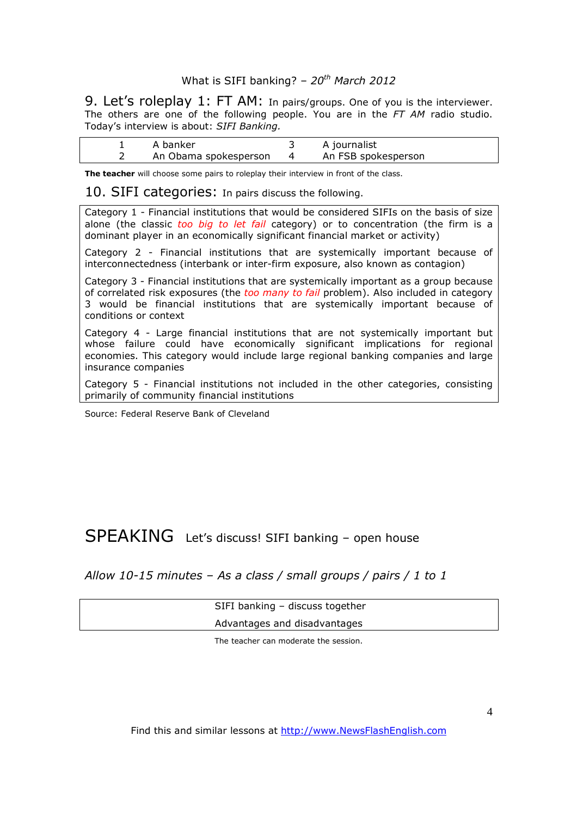9. Let's roleplay 1: FT AM: In pairs/groups. One of you is the interviewer. The others are one of the following people. You are in the *FT AM* radio studio. Today's interview is about: *SIFI Banking.* 

| A banker              |          | A journalist        |
|-----------------------|----------|---------------------|
| An Obama spokesperson | $\sim$ 4 | An FSB spokesperson |

**The teacher** will choose some pairs to roleplay their interview in front of the class.

10. SIFI categories: In pairs discuss the following.

Category 1 - Financial institutions that would be considered SIFIs on the basis of size alone (the classic *too big to let fail* category) or to concentration (the firm is a dominant player in an economically significant financial market or activity)

Category 2 - Financial institutions that are systemically important because of interconnectedness (interbank or inter-firm exposure, also known as contagion)

Category 3 - Financial institutions that are systemically important as a group because of correlated risk exposures (the *too many to fail* problem). Also included in category 3 would be financial institutions that are systemically important because of conditions or context

Category 4 - Large financial institutions that are not systemically important but whose failure could have economically significant implications for regional economies. This category would include large regional banking companies and large insurance companies

Category 5 - Financial institutions not included in the other categories, consisting primarily of community financial institutions

Source: Federal Reserve Bank of Cleveland

# SPEAKING Let's discuss! SIFI banking – open house

*Allow 10-15 minutes – As a class / small groups / pairs / 1 to 1*

 SIFI banking – discuss together Advantages and disadvantages

The teacher can moderate the session.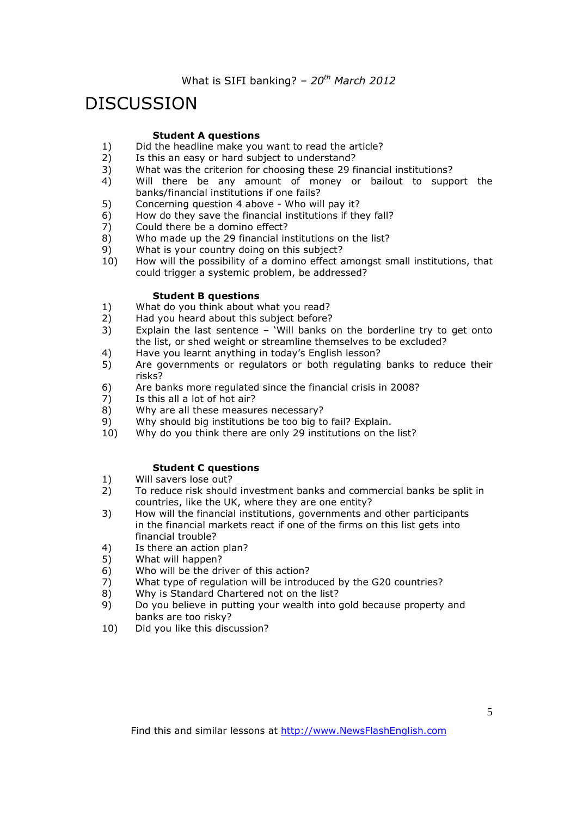# DISCUSSION

#### **Student A questions**

- 1) Did the headline make you want to read the article?<br>2) Is this an easy or hard subject to understand?
- Is this an easy or hard subject to understand?
- 3) What was the criterion for choosing these 29 financial institutions?
- 4) Will there be any amount of money or bailout to support the banks/financial institutions if one fails?
- 5) Concerning question 4 above Who will pay it?
- 6) How do they save the financial institutions if they fall?<br>7) Could there be a domino effect?
- Could there be a domino effect?
- 8) Who made up the 29 financial institutions on the list?
- 9) What is your country doing on this subject?
- 10) How will the possibility of a domino effect amongst small institutions, that could trigger a systemic problem, be addressed?

#### **Student B questions**

- 1) What do you think about what you read?
- 2) Had you heard about this subject before?
- 3) Explain the last sentence 'Will banks on the borderline try to get onto the list, or shed weight or streamline themselves to be excluded?
- 4) Have you learnt anything in today's English lesson?
- 5) Are governments or regulators or both regulating banks to reduce their risks?
- 6) Are banks more regulated since the financial crisis in 2008?
- 7) Is this all a lot of hot air?
- 8) Why are all these measures necessary?
- 9) Why should big institutions be too big to fail? Explain.<br>10) Why do you think there are only 29 institutions on the
- Why do you think there are only 29 institutions on the list?

#### **Student C questions**

- 1) Will savers lose out?
- 2) To reduce risk should investment banks and commercial banks be split in countries, like the UK, where they are one entity?
- 3) How will the financial institutions, governments and other participants in the financial markets react if one of the firms on this list gets into financial trouble?
- 4) Is there an action plan?<br>5) What will happen?
- 5) What will happen?
- 6) Who will be the driver of this action?
- 7) What type of regulation will be introduced by the G20 countries?
- 8) Why is Standard Chartered not on the list?
- 9) Do you believe in putting your wealth into gold because property and banks are too risky?
- 10) Did you like this discussion?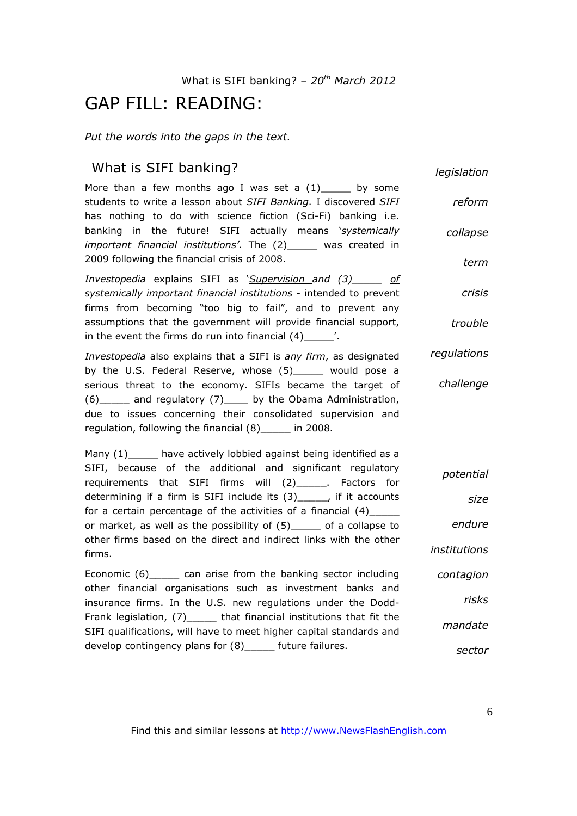## GAP FILL: READING:

*Put the words into the gaps in the text.* 

## What is SIFI banking?

*legislation*

More than a few months ago I was set a  $(1)$  by some students to write a lesson about *SIFI Banking*. I discovered *SIFI* has nothing to do with science fiction (Sci-Fi) banking i.e. banking in the future! SIFI actually means '*systemically important financial institutions'*. The (2)\_\_\_\_\_ was created in 2009 following the financial crisis of 2008. *reform collapse term*

*Investopedia* explains SIFI as '*Supervision and (3)\_\_\_\_\_ of systemically important financial institutions* - intended to prevent firms from becoming "too big to fail", and to prevent any assumptions that the government will provide financial support, in the event the firms do run into financial  $(4)$   $(2)$ *crisis trouble*

*Investopedia* also explains that a SIFI is *any firm*, as designated by the U.S. Federal Reserve, whose (5)\_\_\_\_\_ would pose a serious threat to the economy. SIFIs became the target of (6)\_\_\_\_\_ and regulatory (7)\_\_\_\_ by the Obama Administration, due to issues concerning their consolidated supervision and regulation, following the financial (8)\_\_\_\_\_ in 2008. *regulations challenge*

Many (1) have actively lobbied against being identified as a SIFI, because of the additional and significant regulatory requirements that SIFI firms will (2)\_\_\_\_\_. Factors for determining if a firm is SIFI include its (3) fit accounts for a certain percentage of the activities of a financial  $(4)$ or market, as well as the possibility of (5)\_\_\_\_\_ of a collapse to other firms based on the direct and indirect links with the other firms. *potential size endure institutions*

Economic (6)\_\_\_\_\_ can arise from the banking sector including other financial organisations such as investment banks and insurance firms. In the U.S. new regulations under the Dodd-Frank legislation, (7) \_\_\_\_\_\_ that financial institutions that fit the SIFI qualifications, will have to meet higher capital standards and develop contingency plans for (8) future failures. *contagion risks mandate sector*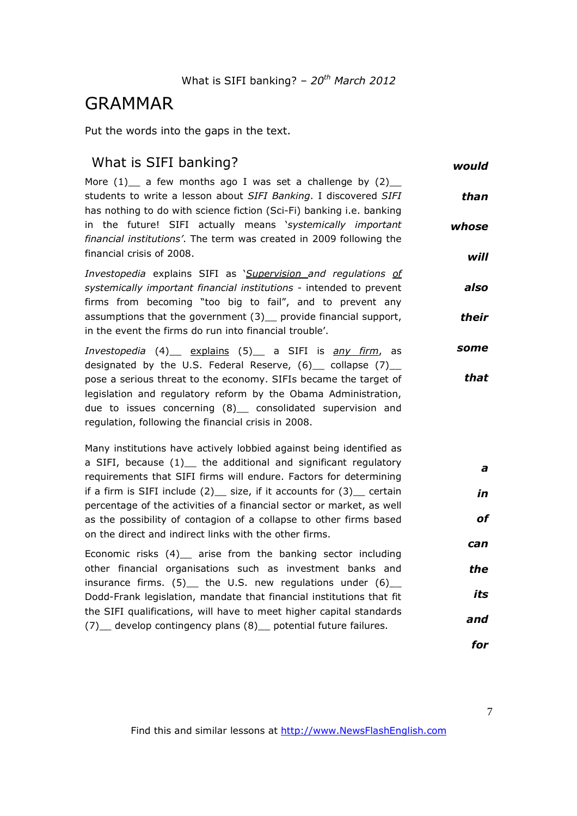# GRAMMAR

Put the words into the gaps in the text.

| would                 | What is SIFI banking?                                                                                                                                                                                                                                                                                                                                                    |  |  |  |  |
|-----------------------|--------------------------------------------------------------------------------------------------------------------------------------------------------------------------------------------------------------------------------------------------------------------------------------------------------------------------------------------------------------------------|--|--|--|--|
| than<br>whose<br>will | More $(1)$ a few months ago I was set a challenge by $(2)$<br>students to write a lesson about SIFI Banking. I discovered SIFI<br>has nothing to do with science fiction (Sci-Fi) banking i.e. banking<br>in the future! SIFI actually means 'systemically important<br>financial institutions'. The term was created in 2009 following the<br>financial crisis of 2008. |  |  |  |  |
|                       | Investopedia explains SIFI as <i>Supervision and regulations of</i>                                                                                                                                                                                                                                                                                                      |  |  |  |  |
| also<br>their         | systemically important financial institutions - intended to prevent<br>firms from becoming "too big to fail", and to prevent any<br>assumptions that the government (3) provide financial support,                                                                                                                                                                       |  |  |  |  |
|                       | in the event the firms do run into financial trouble'.                                                                                                                                                                                                                                                                                                                   |  |  |  |  |
| some                  | Investopedia (4) explains (5) a SIFI is any firm, as<br>designated by the U.S. Federal Reserve, $(6)$ collapse $(7)$                                                                                                                                                                                                                                                     |  |  |  |  |
| that                  | pose a serious threat to the economy. SIFIs became the target of<br>legislation and regulatory reform by the Obama Administration,<br>due to issues concerning (8)_ consolidated supervision and<br>regulation, following the financial crisis in 2008.                                                                                                                  |  |  |  |  |
|                       | Many institutions have actively lobbied against being identified as                                                                                                                                                                                                                                                                                                      |  |  |  |  |
| a                     | a SIFI, because (1) the additional and significant regulatory<br>requirements that SIFI firms will endure. Factors for determining                                                                                                                                                                                                                                       |  |  |  |  |
| in                    | if a firm is SIFI include $(2)$ size, if it accounts for $(3)$ certain<br>percentage of the activities of a financial sector or market, as well                                                                                                                                                                                                                          |  |  |  |  |
| of                    | as the possibility of contagion of a collapse to other firms based<br>on the direct and indirect links with the other firms.                                                                                                                                                                                                                                             |  |  |  |  |
| can                   | Economic risks (4)_ arise from the banking sector including                                                                                                                                                                                                                                                                                                              |  |  |  |  |
| the                   | other financial organisations such as investment banks and<br>insurance firms. $(5)$ the U.S. new regulations under $(6)$                                                                                                                                                                                                                                                |  |  |  |  |
| its                   | Dodd-Frank legislation, mandate that financial institutions that fit                                                                                                                                                                                                                                                                                                     |  |  |  |  |
| and                   | the SIFI qualifications, will have to meet higher capital standards<br>(7) develop contingency plans (8) potential future failures.                                                                                                                                                                                                                                      |  |  |  |  |
| for                   |                                                                                                                                                                                                                                                                                                                                                                          |  |  |  |  |